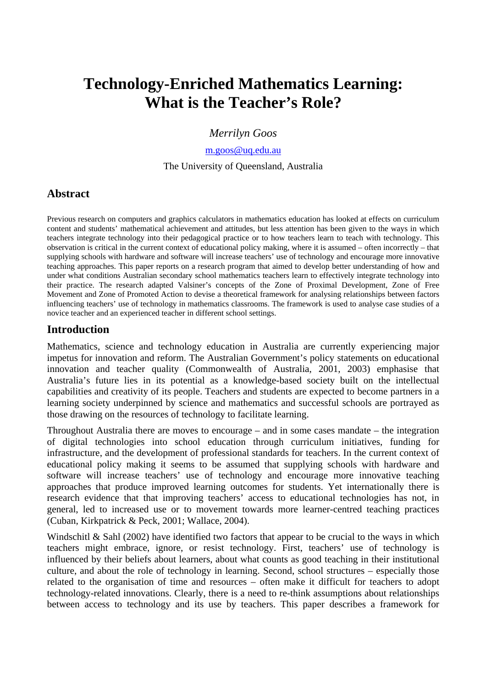# **Technology-Enriched Mathematics Learning: What is the Teacher's Role?**

#### *Merrilyn Goos*

m.goos@uq.edu.au

The University of Queensland, Australia

## **Abstract**

Previous research on computers and graphics calculators in mathematics education has looked at effects on curriculum content and students' mathematical achievement and attitudes, but less attention has been given to the ways in which teachers integrate technology into their pedagogical practice or to how teachers learn to teach with technology. This observation is critical in the current context of educational policy making, where it is assumed – often incorrectly – that supplying schools with hardware and software will increase teachers' use of technology and encourage more innovative teaching approaches. This paper reports on a research program that aimed to develop better understanding of how and under what conditions Australian secondary school mathematics teachers learn to effectively integrate technology into their practice. The research adapted Valsiner's concepts of the Zone of Proximal Development, Zone of Free Movement and Zone of Promoted Action to devise a theoretical framework for analysing relationships between factors influencing teachers' use of technology in mathematics classrooms. The framework is used to analyse case studies of a novice teacher and an experienced teacher in different school settings.

#### **Introduction**

Mathematics, science and technology education in Australia are currently experiencing major impetus for innovation and reform. The Australian Government's policy statements on educational innovation and teacher quality (Commonwealth of Australia, 2001, 2003) emphasise that Australia's future lies in its potential as a knowledge-based society built on the intellectual capabilities and creativity of its people. Teachers and students are expected to become partners in a learning society underpinned by science and mathematics and successful schools are portrayed as those drawing on the resources of technology to facilitate learning.

Throughout Australia there are moves to encourage – and in some cases mandate – the integration of digital technologies into school education through curriculum initiatives, funding for infrastructure, and the development of professional standards for teachers. In the current context of educational policy making it seems to be assumed that supplying schools with hardware and software will increase teachers' use of technology and encourage more innovative teaching approaches that produce improved learning outcomes for students. Yet internationally there is research evidence that that improving teachers' access to educational technologies has not, in general, led to increased use or to movement towards more learner-centred teaching practices (Cuban, Kirkpatrick & Peck, 2001; Wallace, 2004).

Windschitl & Sahl (2002) have identified two factors that appear to be crucial to the ways in which teachers might embrace, ignore, or resist technology. First, teachers' use of technology is influenced by their beliefs about learners, about what counts as good teaching in their institutional culture, and about the role of technology in learning. Second, school structures – especially those related to the organisation of time and resources – often make it difficult for teachers to adopt technology-related innovations. Clearly, there is a need to re-think assumptions about relationships between access to technology and its use by teachers. This paper describes a framework for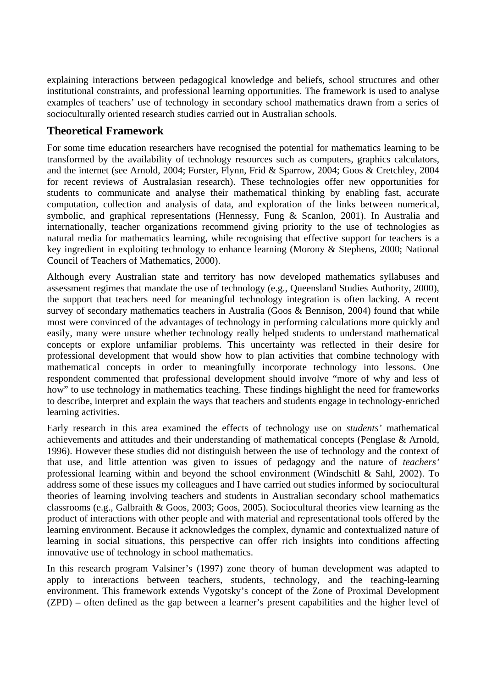explaining interactions between pedagogical knowledge and beliefs, school structures and other institutional constraints, and professional learning opportunities. The framework is used to analyse examples of teachers' use of technology in secondary school mathematics drawn from a series of socioculturally oriented research studies carried out in Australian schools.

# **Theoretical Framework**

For some time education researchers have recognised the potential for mathematics learning to be transformed by the availability of technology resources such as computers, graphics calculators, and the internet (see Arnold, 2004; Forster, Flynn, Frid & Sparrow, 2004; Goos & Cretchley, 2004 for recent reviews of Australasian research). These technologies offer new opportunities for students to communicate and analyse their mathematical thinking by enabling fast, accurate computation, collection and analysis of data, and exploration of the links between numerical, symbolic, and graphical representations (Hennessy, Fung & Scanlon, 2001). In Australia and internationally, teacher organizations recommend giving priority to the use of technologies as natural media for mathematics learning, while recognising that effective support for teachers is a key ingredient in exploiting technology to enhance learning (Morony & Stephens, 2000; National Council of Teachers of Mathematics, 2000).

Although every Australian state and territory has now developed mathematics syllabuses and assessment regimes that mandate the use of technology (e.g., Queensland Studies Authority, 2000), the support that teachers need for meaningful technology integration is often lacking. A recent survey of secondary mathematics teachers in Australia (Goos & Bennison, 2004) found that while most were convinced of the advantages of technology in performing calculations more quickly and easily, many were unsure whether technology really helped students to understand mathematical concepts or explore unfamiliar problems. This uncertainty was reflected in their desire for professional development that would show how to plan activities that combine technology with mathematical concepts in order to meaningfully incorporate technology into lessons. One respondent commented that professional development should involve "more of why and less of how" to use technology in mathematics teaching. These findings highlight the need for frameworks to describe, interpret and explain the ways that teachers and students engage in technology-enriched learning activities.

Early research in this area examined the effects of technology use on *students'* mathematical achievements and attitudes and their understanding of mathematical concepts (Penglase & Arnold, 1996). However these studies did not distinguish between the use of technology and the context of that use, and little attention was given to issues of pedagogy and the nature of *teachers'* professional learning within and beyond the school environment (Windschitl & Sahl, 2002). To address some of these issues my colleagues and I have carried out studies informed by sociocultural theories of learning involving teachers and students in Australian secondary school mathematics classrooms (e.g., Galbraith & Goos, 2003; Goos, 2005). Sociocultural theories view learning as the product of interactions with other people and with material and representational tools offered by the learning environment. Because it acknowledges the complex, dynamic and contextualized nature of learning in social situations, this perspective can offer rich insights into conditions affecting innovative use of technology in school mathematics.

In this research program Valsiner's (1997) zone theory of human development was adapted to apply to interactions between teachers, students, technology, and the teaching-learning environment. This framework extends Vygotsky's concept of the Zone of Proximal Development (ZPD) – often defined as the gap between a learner's present capabilities and the higher level of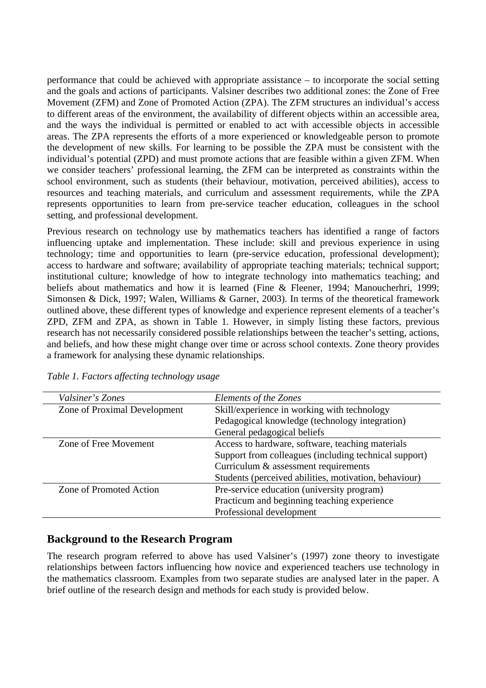performance that could be achieved with appropriate assistance – to incorporate the social setting and the goals and actions of participants. Valsiner describes two additional zones: the Zone of Free Movement (ZFM) and Zone of Promoted Action (ZPA). The ZFM structures an individual's access to different areas of the environment, the availability of different objects within an accessible area, and the ways the individual is permitted or enabled to act with accessible objects in accessible areas. The ZPA represents the efforts of a more experienced or knowledgeable person to promote the development of new skills. For learning to be possible the ZPA must be consistent with the individual's potential (ZPD) and must promote actions that are feasible within a given ZFM. When we consider teachers' professional learning, the ZFM can be interpreted as constraints within the school environment, such as students (their behaviour, motivation, perceived abilities), access to resources and teaching materials, and curriculum and assessment requirements, while the ZPA represents opportunities to learn from pre-service teacher education, colleagues in the school setting, and professional development.

Previous research on technology use by mathematics teachers has identified a range of factors influencing uptake and implementation. These include: skill and previous experience in using technology; time and opportunities to learn (pre-service education, professional development); access to hardware and software; availability of appropriate teaching materials; technical support; institutional culture; knowledge of how to integrate technology into mathematics teaching; and beliefs about mathematics and how it is learned (Fine & Fleener, 1994; Manoucherhri, 1999; Simonsen & Dick, 1997; Walen, Williams & Garner, 2003). In terms of the theoretical framework outlined above, these different types of knowledge and experience represent elements of a teacher's ZPD, ZFM and ZPA, as shown in Table 1. However, in simply listing these factors, previous research has not necessarily considered possible relationships between the teacher's setting, actions, and beliefs, and how these might change over time or across school contexts. Zone theory provides a framework for analysing these dynamic relationships.

| Valsiner's Zones             | Elements of the Zones                                 |
|------------------------------|-------------------------------------------------------|
| Zone of Proximal Development | Skill/experience in working with technology           |
|                              | Pedagogical knowledge (technology integration)        |
|                              | General pedagogical beliefs                           |
| Zone of Free Movement        | Access to hardware, software, teaching materials      |
|                              | Support from colleagues (including technical support) |
|                              | Curriculum $\&$ assessment requirements               |
|                              | Students (perceived abilities, motivation, behaviour) |
| Zone of Promoted Action      | Pre-service education (university program)            |
|                              | Practicum and beginning teaching experience           |
|                              | Professional development                              |

*Table 1. Factors affecting technology usage* 

## **Background to the Research Program**

The research program referred to above has used Valsiner's (1997) zone theory to investigate relationships between factors influencing how novice and experienced teachers use technology in the mathematics classroom. Examples from two separate studies are analysed later in the paper. A brief outline of the research design and methods for each study is provided below.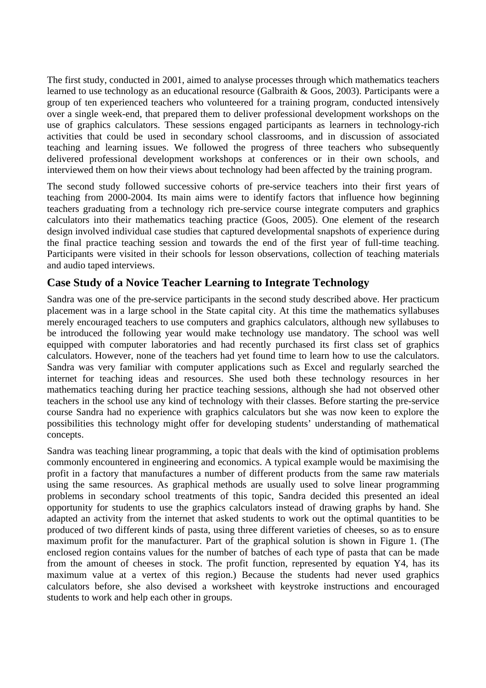The first study, conducted in 2001, aimed to analyse processes through which mathematics teachers learned to use technology as an educational resource (Galbraith & Goos, 2003). Participants were a group of ten experienced teachers who volunteered for a training program, conducted intensively over a single week-end, that prepared them to deliver professional development workshops on the use of graphics calculators. These sessions engaged participants as learners in technology-rich activities that could be used in secondary school classrooms, and in discussion of associated teaching and learning issues. We followed the progress of three teachers who subsequently delivered professional development workshops at conferences or in their own schools, and interviewed them on how their views about technology had been affected by the training program.

The second study followed successive cohorts of pre-service teachers into their first years of teaching from 2000-2004. Its main aims were to identify factors that influence how beginning teachers graduating from a technology rich pre-service course integrate computers and graphics calculators into their mathematics teaching practice (Goos, 2005). One element of the research design involved individual case studies that captured developmental snapshots of experience during the final practice teaching session and towards the end of the first year of full-time teaching. Participants were visited in their schools for lesson observations, collection of teaching materials and audio taped interviews.

## **Case Study of a Novice Teacher Learning to Integrate Technology**

Sandra was one of the pre-service participants in the second study described above. Her practicum placement was in a large school in the State capital city. At this time the mathematics syllabuses merely encouraged teachers to use computers and graphics calculators, although new syllabuses to be introduced the following year would make technology use mandatory. The school was well equipped with computer laboratories and had recently purchased its first class set of graphics calculators. However, none of the teachers had yet found time to learn how to use the calculators. Sandra was very familiar with computer applications such as Excel and regularly searched the internet for teaching ideas and resources. She used both these technology resources in her mathematics teaching during her practice teaching sessions, although she had not observed other teachers in the school use any kind of technology with their classes. Before starting the pre-service course Sandra had no experience with graphics calculators but she was now keen to explore the possibilities this technology might offer for developing students' understanding of mathematical concepts.

Sandra was teaching linear programming, a topic that deals with the kind of optimisation problems commonly encountered in engineering and economics. A typical example would be maximising the profit in a factory that manufactures a number of different products from the same raw materials using the same resources. As graphical methods are usually used to solve linear programming problems in secondary school treatments of this topic, Sandra decided this presented an ideal opportunity for students to use the graphics calculators instead of drawing graphs by hand. She adapted an activity from the internet that asked students to work out the optimal quantities to be produced of two different kinds of pasta, using three different varieties of cheeses, so as to ensure maximum profit for the manufacturer. Part of the graphical solution is shown in Figure 1. (The enclosed region contains values for the number of batches of each type of pasta that can be made from the amount of cheeses in stock. The profit function, represented by equation Y4, has its maximum value at a vertex of this region.) Because the students had never used graphics calculators before, she also devised a worksheet with keystroke instructions and encouraged students to work and help each other in groups.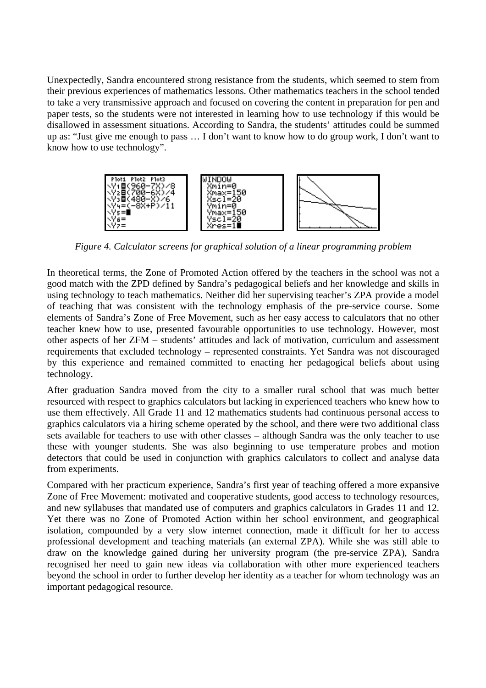Unexpectedly, Sandra encountered strong resistance from the students, which seemed to stem from their previous experiences of mathematics lessons. Other mathematics teachers in the school tended to take a very transmissive approach and focused on covering the content in preparation for pen and paper tests, so the students were not interested in learning how to use technology if this would be disallowed in assessment situations. According to Sandra, the students' attitudes could be summed up as: "Just give me enough to pass … I don't want to know how to do group work, I don't want to know how to use technology".



*Figure 4. Calculator screens for graphical solution of a linear programming problem* 

In theoretical terms, the Zone of Promoted Action offered by the teachers in the school was not a good match with the ZPD defined by Sandra's pedagogical beliefs and her knowledge and skills in using technology to teach mathematics. Neither did her supervising teacher's ZPA provide a model of teaching that was consistent with the technology emphasis of the pre-service course. Some elements of Sandra's Zone of Free Movement, such as her easy access to calculators that no other teacher knew how to use, presented favourable opportunities to use technology. However, most other aspects of her ZFM – students' attitudes and lack of motivation, curriculum and assessment requirements that excluded technology – represented constraints. Yet Sandra was not discouraged by this experience and remained committed to enacting her pedagogical beliefs about using technology.

After graduation Sandra moved from the city to a smaller rural school that was much better resourced with respect to graphics calculators but lacking in experienced teachers who knew how to use them effectively. All Grade 11 and 12 mathematics students had continuous personal access to graphics calculators via a hiring scheme operated by the school, and there were two additional class sets available for teachers to use with other classes – although Sandra was the only teacher to use these with younger students. She was also beginning to use temperature probes and motion detectors that could be used in conjunction with graphics calculators to collect and analyse data from experiments.

Compared with her practicum experience, Sandra's first year of teaching offered a more expansive Zone of Free Movement: motivated and cooperative students, good access to technology resources, and new syllabuses that mandated use of computers and graphics calculators in Grades 11 and 12. Yet there was no Zone of Promoted Action within her school environment, and geographical isolation, compounded by a very slow internet connection, made it difficult for her to access professional development and teaching materials (an external ZPA). While she was still able to draw on the knowledge gained during her university program (the pre-service ZPA), Sandra recognised her need to gain new ideas via collaboration with other more experienced teachers beyond the school in order to further develop her identity as a teacher for whom technology was an important pedagogical resource.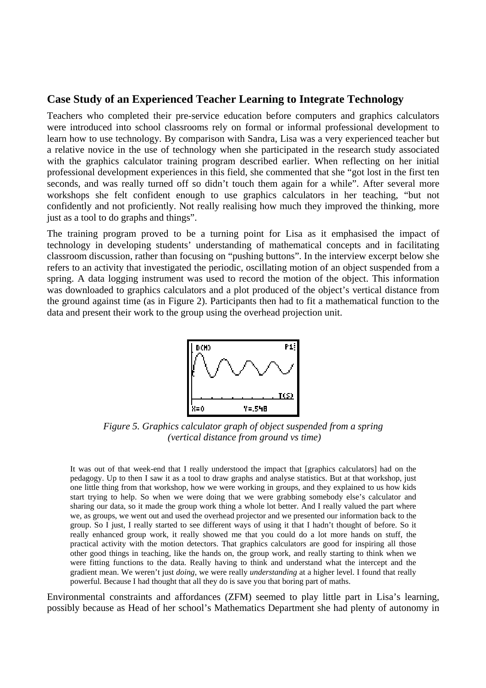## **Case Study of an Experienced Teacher Learning to Integrate Technology**

Teachers who completed their pre-service education before computers and graphics calculators were introduced into school classrooms rely on formal or informal professional development to learn how to use technology. By comparison with Sandra, Lisa was a very experienced teacher but a relative novice in the use of technology when she participated in the research study associated with the graphics calculator training program described earlier. When reflecting on her initial professional development experiences in this field, she commented that she "got lost in the first ten seconds, and was really turned off so didn't touch them again for a while". After several more workshops she felt confident enough to use graphics calculators in her teaching, "but not confidently and not proficiently. Not really realising how much they improved the thinking, more just as a tool to do graphs and things".

The training program proved to be a turning point for Lisa as it emphasised the impact of technology in developing students' understanding of mathematical concepts and in facilitating classroom discussion, rather than focusing on "pushing buttons". In the interview excerpt below she refers to an activity that investigated the periodic, oscillating motion of an object suspended from a spring. A data logging instrument was used to record the motion of the object. This information was downloaded to graphics calculators and a plot produced of the object's vertical distance from the ground against time (as in Figure 2). Participants then had to fit a mathematical function to the data and present their work to the group using the overhead projection unit.



*Figure 5. Graphics calculator graph of object suspended from a spring (vertical distance from ground vs time)* 

It was out of that week-end that I really understood the impact that [graphics calculators] had on the pedagogy. Up to then I saw it as a tool to draw graphs and analyse statistics. But at that workshop, just one little thing from that workshop, how we were working in groups, and they explained to us how kids start trying to help. So when we were doing that we were grabbing somebody else's calculator and sharing our data, so it made the group work thing a whole lot better. And I really valued the part where we, as groups, we went out and used the overhead projector and we presented our information back to the group. So I just, I really started to see different ways of using it that I hadn't thought of before. So it really enhanced group work, it really showed me that you could do a lot more hands on stuff, the practical activity with the motion detectors. That graphics calculators are good for inspiring all those other good things in teaching, like the hands on, the group work, and really starting to think when we were fitting functions to the data. Really having to think and understand what the intercept and the gradient mean. We weren't just *doing*, we were really *understanding* at a higher level. I found that really powerful. Because I had thought that all they do is save you that boring part of maths.

Environmental constraints and affordances (ZFM) seemed to play little part in Lisa's learning, possibly because as Head of her school's Mathematics Department she had plenty of autonomy in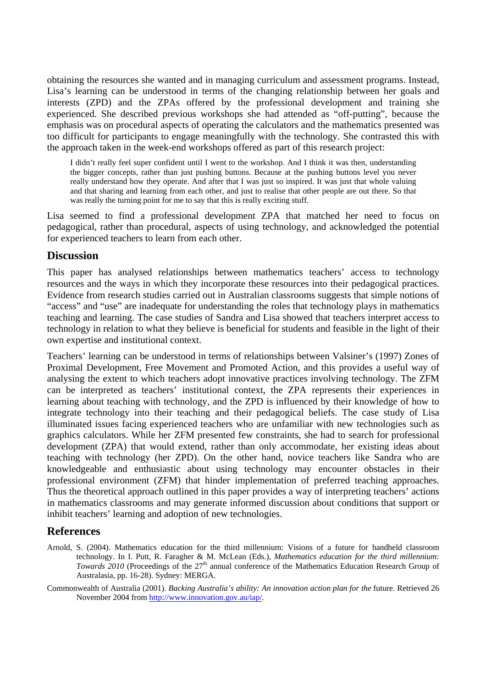obtaining the resources she wanted and in managing curriculum and assessment programs. Instead, Lisa's learning can be understood in terms of the changing relationship between her goals and interests (ZPD) and the ZPAs offered by the professional development and training she experienced. She described previous workshops she had attended as "off-putting", because the emphasis was on procedural aspects of operating the calculators and the mathematics presented was too difficult for participants to engage meaningfully with the technology. She contrasted this with the approach taken in the week-end workshops offered as part of this research project:

I didn't really feel super confident until I went to the workshop. And I think it was then, understanding the bigger concepts, rather than just pushing buttons. Because at the pushing buttons level you never really understand how they operate. And after that I was just so inspired. It was just that whole valuing and that sharing and learning from each other, and just to realise that other people are out there. So that was really the turning point for me to say that this is really exciting stuff.

Lisa seemed to find a professional development ZPA that matched her need to focus on pedagogical, rather than procedural, aspects of using technology, and acknowledged the potential for experienced teachers to learn from each other.

#### **Discussion**

This paper has analysed relationships between mathematics teachers' access to technology resources and the ways in which they incorporate these resources into their pedagogical practices. Evidence from research studies carried out in Australian classrooms suggests that simple notions of "access" and "use" are inadequate for understanding the roles that technology plays in mathematics teaching and learning. The case studies of Sandra and Lisa showed that teachers interpret access to technology in relation to what they believe is beneficial for students and feasible in the light of their own expertise and institutional context.

Teachers' learning can be understood in terms of relationships between Valsiner's (1997) Zones of Proximal Development, Free Movement and Promoted Action, and this provides a useful way of analysing the extent to which teachers adopt innovative practices involving technology. The ZFM can be interpreted as teachers' institutional context, the ZPA represents their experiences in learning about teaching with technology, and the ZPD is influenced by their knowledge of how to integrate technology into their teaching and their pedagogical beliefs. The case study of Lisa illuminated issues facing experienced teachers who are unfamiliar with new technologies such as graphics calculators. While her ZFM presented few constraints, she had to search for professional development (ZPA) that would extend, rather than only accommodate, her existing ideas about teaching with technology (her ZPD). On the other hand, novice teachers like Sandra who are knowledgeable and enthusiastic about using technology may encounter obstacles in their professional environment (ZFM) that hinder implementation of preferred teaching approaches. Thus the theoretical approach outlined in this paper provides a way of interpreting teachers' actions in mathematics classrooms and may generate informed discussion about conditions that support or inhibit teachers' learning and adoption of new technologies.

#### **References**

- Arnold, S. (2004). Mathematics education for the third millennium: Visions of a future for handheld classroom technology. In I. Putt, R. Faragher & M. McLean (Eds.), *Mathematics education for the third millennium: Towards* 2010 (Proceedings of the 27<sup>th</sup> annual conference of the Mathematics Education Research Group of Australasia, pp. 16-28). Sydney: MERGA.
- Commonwealth of Australia (2001). *Backing Australia's ability: An innovation action plan for the* future. Retrieved 26 November 2004 from http://www.innovation.gov.au/iap/.